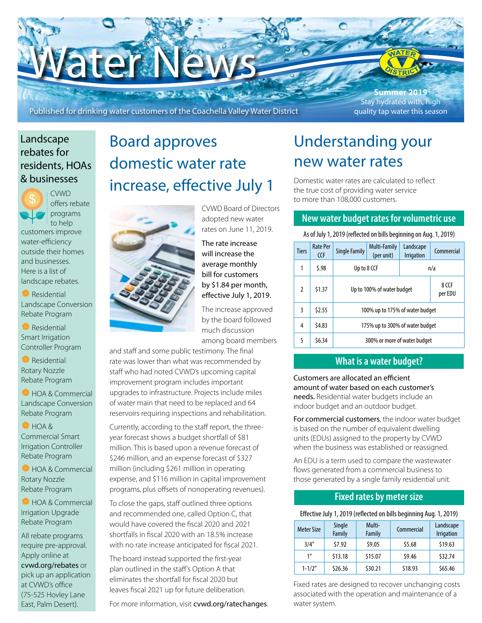

Published for drinking water customers of the Coachella Valley Water District

THE RESIDENCE OF STREET

**Summer 2019** Stay hydrated with, high quality tap water this season

#### Landscape rebates for residents, HOAs & businesses

CVWD offers rebate programs to help customers improve water-efficiency outside their homes and businesses. Here is a list of landscape rebates.

**V**: Residential Landscape Conversion Rebate Program

**Residential** Smart Irrigation Controller Program

**Residential** Rotary Nozzle Rebate Program

**V** HOA & Commercial Landscape Conversion Rebate Program

 $\leftrightarrow$  HOA  $\&$ Commercial Smart Irrigation Controller Rebate Program

HOA & Commercial Rotary Nozzle Rebate Program

**V**HOA & Commercial Irrigation Upgrade Rebate Program

All rebate programs require pre-approval. Apply online at cvwd.org/rebates or pick up an application at CVWD's office (75-525 Hovley Lane East, Palm Desert).

## Board approves domestic water rate increase, effective July 1



CVWD Board of Directors adopted new water rates on June 11, 2019.

The rate increase will increase the average monthly bill for customers by \$1.84 per month, effective July 1, 2019.

The increase approved by the board followed much discussion among board members

and staff and some public testimony. The final rate was lower than what was recommended by staff who had noted CVWD's upcoming capital improvement program includes important upgrades to infrastructure. Projects include miles of water main that need to be replaced and 64 reservoirs requiring inspections and rehabilitation.

Currently, according to the staff report, the threeyear forecast shows a budget shortfall of \$81 million. This is based upon a revenue forecast of \$246 million, and an expense forecast of \$327 million (including \$261 million in operating expense, and \$116 million in capital improvement programs, plus offsets of nonoperating revenues).

To close the gaps, staff outlined three options and recommended one, called Option C, that would have covered the fiscal 2020 and 2021 shortfalls in fiscal 2020 with an 18.5% increase with no rate increase anticipated for fiscal 2021.

The board instead supported the first-year plan outlined in the staff's Option A that eliminates the shortfall for fiscal 2020 but leaves fiscal 2021 up for future deliberation.

For more information, visit cvwd.org/ratechanges.

### Understanding your new water rates

Domestic water rates are calculated to reflect the true cost of providing water service to more than 108,000 customers.

#### **New water budget rates for volumetric use**

As of July 1, 2019 (reflected on bills beginning on Aug. 1, 2019)

| <b>Tiers</b>   | Rate Per<br><b>CCF</b> | <b>Single Family</b>            | Multi-Family<br>(per unit) | Landscape<br><b>Irrigation</b> | Commercial       |  |
|----------------|------------------------|---------------------------------|----------------------------|--------------------------------|------------------|--|
| 1              | \$.98                  | Up to 8 CCF                     |                            | n/a                            |                  |  |
| $\overline{2}$ | \$1.37                 | Up to 100% of water budget      |                            |                                | 8 CCF<br>per EDU |  |
| 3              | \$2.55                 | 100% up to 175% of water budget |                            |                                |                  |  |
| 4              | \$4.83                 | 175% up to 300% of water budget |                            |                                |                  |  |
| 5              | \$6.34                 | 300% or more of water budget    |                            |                                |                  |  |

#### **What is a water budget?**

Customers are allocated an efficient amount of water based on each customer's needs. Residential water budgets include an indoor budget and an outdoor budget.

For commercial customers, the indoor water budget is based on the number of equivalent dwelling units (EDUs) assigned to the property by CVWD when the business was established or reassigned.

An EDU is a term used to compare the wastewater flows generated from a commercial business to those generated by a single family residential unit.

#### **Fixed rates by meter size**

Effective July 1, 2019 (reflected on bills beginning Aug. 1, 2019)

| <b>Meter Size</b> | Single<br>Family | Multi-<br>Family | Commercial | Landscape<br>Irrigation |
|-------------------|------------------|------------------|------------|-------------------------|
| 3/4''             | \$7.92           | \$9.05           | \$5.68     | \$19.63                 |
| 1 <sup>''</sup>   | \$13.18          | \$15.07          | \$9.46     | \$32.74                 |
| $1 - 1/2"$        | \$26.36          | \$30.21          | \$18.93    | \$65.46                 |

Fixed rates are designed to recover unchanging costs associated with the operation and maintenance of a water system.